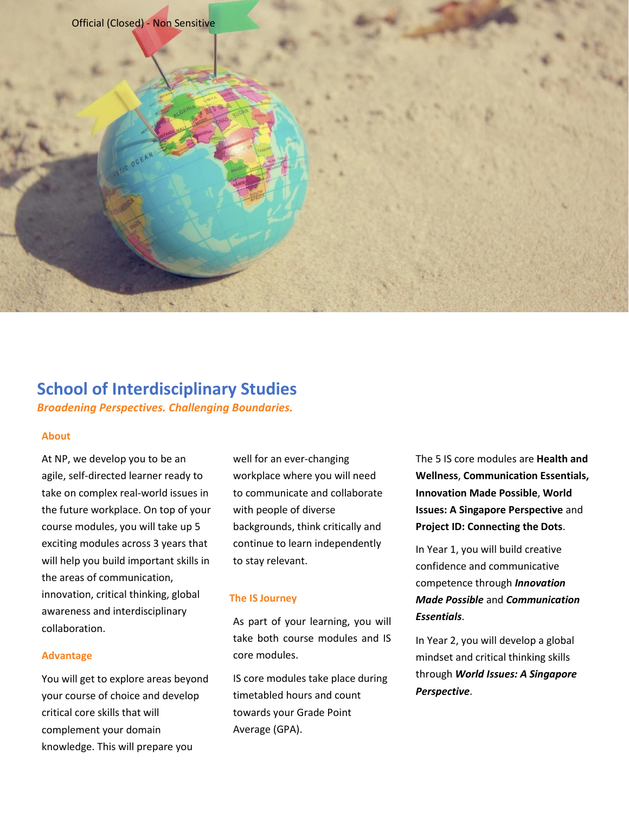

# **School of Interdisciplinary Studies**

*Broadening Perspectives. Challenging Boundaries.*

#### **About**

At NP, we develop you to be an agile, self-directed learner ready to take on complex real-world issues in the future workplace. On top of your course modules, you will take up 5 exciting modules across 3 years that will help you build important skills in the areas of communication, innovation, critical thinking, global awareness and interdisciplinary collaboration.

#### **Advantage**

You will get to explore areas beyond your course of choice and develop critical core skills that will complement your domain knowledge. This will prepare you

well for an ever-changing workplace where you will need to communicate and collaborate with people of diverse backgrounds, think critically and continue to learn independently to stay relevant.

## **The IS Journey**

As part of your learning, you will take both course modules and IS core modules.

IS core modules take place during timetabled hours and count towards your Grade Point Average (GPA).

The 5 IS core modules are **Health and Wellness**, **Communication Essentials, Innovation Made Possible**, **World Issues: A Singapore Perspective** and **Project ID: Connecting the Dots**.

In Year 1, you will build creative confidence and communicative competence through *Innovation Made Possible* and *Communication Essentials*.

In Year 2, you will develop a global mindset and critical thinking skills through *World Issues: A Singapore Perspective*.